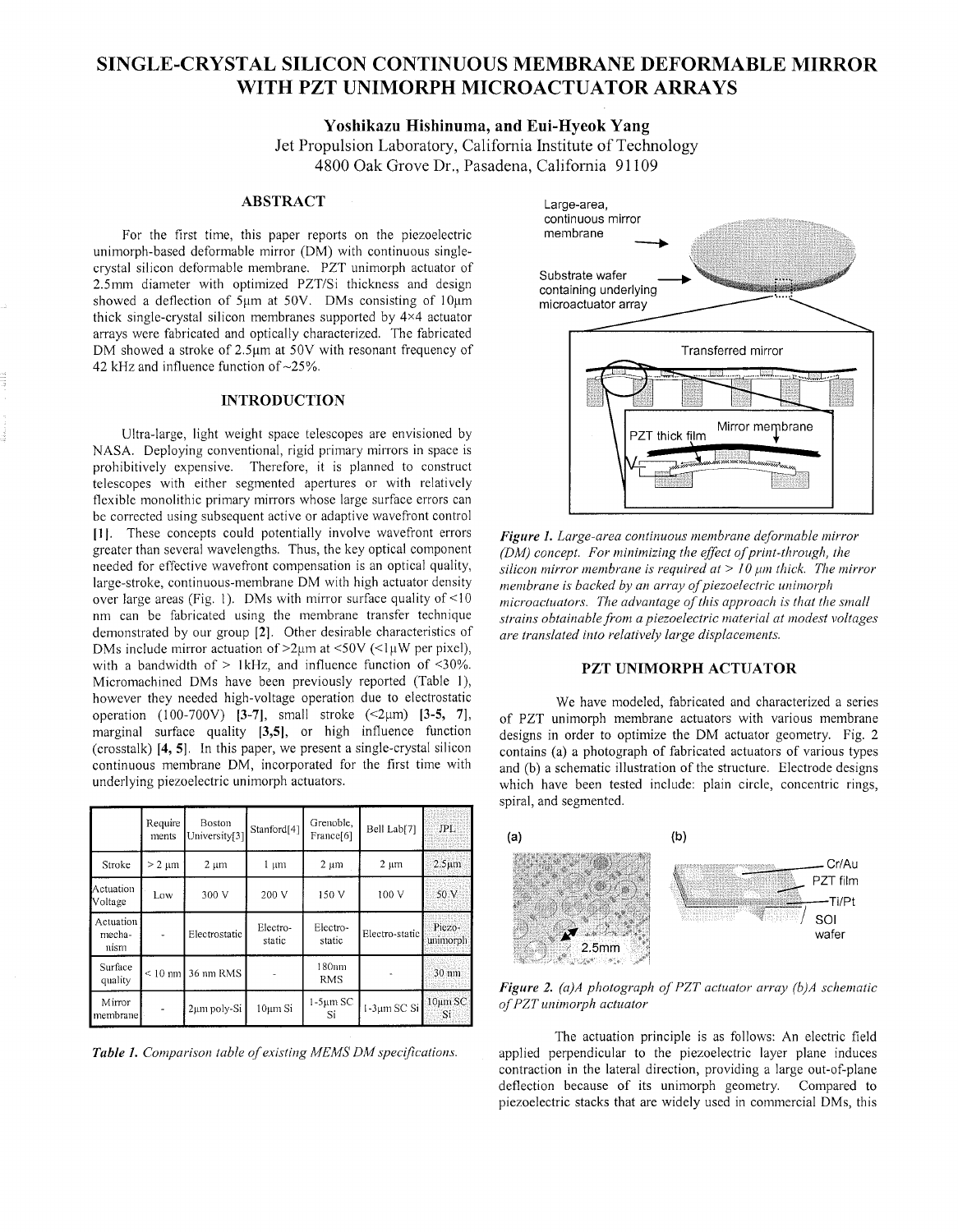# **SINGLE-CRYSTAL SILICON CONTINUOUS MEMBRANE DEFORMABLE MIRROR WITH PZT UNIMORPH MICROACTUATOR ARRAYS**

**Yoshikazu Hishinuma, and Eui-Hyeok Yang** 

Jet Propulsion Laboratory, California Institute of Technology 4800 Oak Grove Dr., Pasadena, California 91 109

### **ABSTRACT**

For the first time, this paper reports on the piezoelectric unimorph-based deformable mirror (DM) with continuous singlecrystal silicon deformable membrane PZT unimorph actuator of 2.5mm diameter with optimized PZT/Si thickness and design showed a deflection of 5um at 50V. DMs consisting of 10um thick single-crystal silicon membranes supported by 4x4 actuator arrays were fabricated and optically characterized. The fabricated DM showed a stroke of  $2.5\mu m$  at  $50V$  with resonant frequency of 42 kHz and influence function of  $\sim$ 25%.

## **INTRODUCTION**

Ultra-large, light weight space telescopes are envisioned by NASA. Deploying conventional, rigid primary mirrors in space is prohibitively expensive. Therefore, it is planned to construct telescopes with either segmented apertures or with relatively flexible monolithic primary mirrors whose large surface errors can be corrected using subsequent active or adaptive wavefront control [1]. These concepts could potentially involve wavefront errors greater than several wavelengths. Thus, the key optical component needed for effective wavefront compensation is an optical quality, large-stroke, continuous-membrane DM with high actuator density over large areas (Fig. 1). DMs with mirror surface quality of  $\leq 10$ nm can be fabricated using the membrane transfer technique demonstrated by our group [2]. Other desirable characteristics of DMs include mirror actuation of  $>2\mu$ m at <50V (<1 $\mu$ W per pixel), with a bandwidth of  $> 1$ kHz, and influence function of <30%. Micromachined DMs have been previously reported (Table I), however they needed high-voltage operation due to electrostatic operation (100-700V) **[3-7]**, small stroke (<2µm) **[3-5, 7]**, marginal surface quality **[3,5],** or high influence function (crosstalk) **14, 51** In this paper, we present a single-crystal silicon continuous membrane DM, incorporated for the first time with underlying piezoelectric unimorph actuators

|                             | Require<br>ments | Boston<br>University[3] | Stanford <sup>[4]</sup> | Grenoble,<br>France[6] | Bell Lab[7]    | JPL.                 |
|-----------------------------|------------------|-------------------------|-------------------------|------------------------|----------------|----------------------|
| Stroke                      | $> 2 \mu m$      | $2 \mu m$               | $1 \mu m$               | $2 \mu m$              | $2 \mu m$      | $2.5 \mu m$          |
| Actuation<br>Voltage        | Low              | 300 V                   | 200 V                   | 150 V                  | 100 V          | 50 V                 |
| Actuation<br>mecha-<br>nism |                  | Electrostatic           | Electro-<br>static      | Electro-<br>static     | Electro-static | Piezo-<br>unimorph   |
| Surface<br>quality          |                  | $\leq 10$ nm 36 nm RMS  |                         | $180$ mm<br><b>RMS</b> |                | 30 mm                |
| Mirror<br>membrane          |                  | 2µm poly-Si             | 10um Si                 | $1-5\mu m$ SC<br>Si    | 1-3µm SC Si    | $10 \mu m$ SC<br>Si. |

*Table 1. Comparison table of existing MEMS DM specifications.* 



*Figure 1. Large-area continuous membrane deformable inirror (DM) concept. For minimizing the effect of print-through, the silicon mirror membrane is required at*  $>$  10  $\mu$ *m thick. The mirror inembrane is backed by an array of piezoelectric unimorph nicroactuators. The advantage of this approach is that the small strains obtainable front a piezoelectric material at modest voltages are translated into relatively large displacements.* 

## **PZT UNIMORPH ACTUATOR**

We have modeled, fabricated and characterized a series of PZT unimorph membrane actuators with various membrane designs in order to optimize the DM actuator geometry. Fig. 2 contains (a) a photograph of fabricated actuators of various types and (b) a schematic illustration of the structure. Electrode designs which have been tested include: plain circle, concentric rings, spiral, and segmented.



*Figure 2. (a)A photograph of PZT actuator array (b)A schematic*   $of$  *PZT* unimorph actuator

The actuation principle is as follows: An electric field applied perpendicular to the piezoelectric layer plane induces contraction in the lateral direction, providing a large out-of-plane deflection because of its unimorph geometry. Compared to piezoelectric stacks that are widely used in commercial DMs, this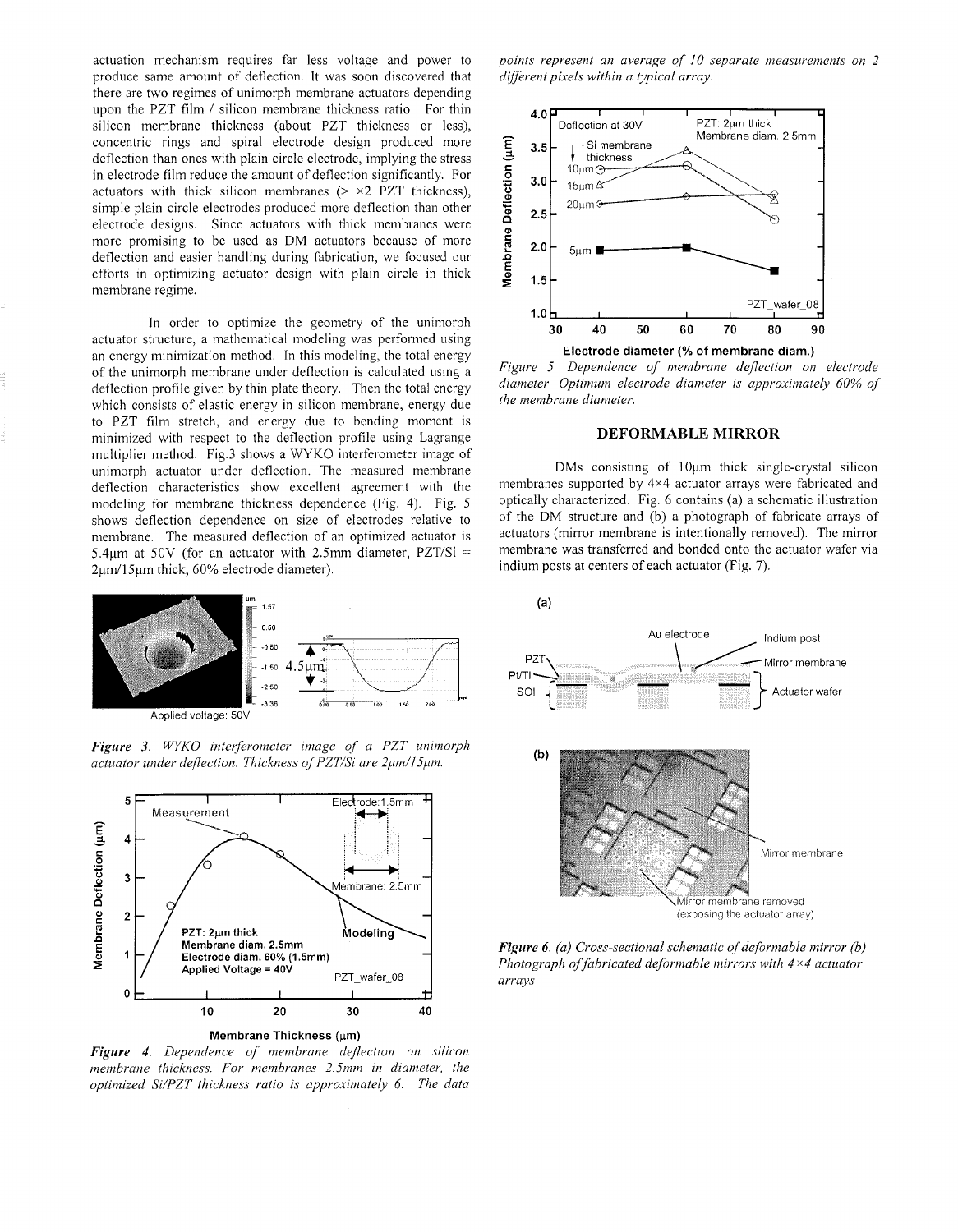actuation mechanism requires far less voltage and power to produce same amount of deflection. It was soon discovered that there are two regimes of unimorph membrane actuators depending upon the PZT film / silicon membrane thickness ratio. For thin silicon membrane thickness (about PZT thickness or less), concentric rings and spiral electrode design produced more deflection than ones with plain circle electrode, implying the stress in electrode film reduce the amount of deflection significantly. For actuators with thick silicon membranes  $(> \times 2$  PZT thickness), simple plain circle electrodes produced morc deflection than other electrode designs. Since actuators with thick membranes were more promising to be used as DM actuators because of more deflection and easier handling during fabrication, we focuscd our efforts in optimizing actuator design with plain circle in thick membrane regime.

In order to optimize the geometry of the unimorph actuator structure, a mathematical modeling was performed using an energy minimization method. In this modeling, the total energy of the unimorph membrane under deflection is calculated using a deflection profile given by thin plate theory. Then the total energy which consists of elastic energy in silicon membrane, energy due to PZT film stretch, and energy due to bending moment is minimized with respect to the deflection profile using Lagrange multiplier method. Fig.3 shows a WYKO interferometer image of unimorph actuator under deflection. The measured membrane deflection characteristics show excellent agreement with the modeling for membrane thickness dependence (Fig. 4). Fig. 5 shows deflection dependence on size of electrodes relative to membrane. The measured deflection of an optimized actuator is 5.4 $\mu$ m at 50V (for an actuator with 2.5mm diameter, PZT/Si =  $2\mu$ m/15 $\mu$ m thick, 60% electrode diameter).



*Figure 3. WYKO interferometer image of a PZT unimorph actuator under deflection. Thickness of PZT/Si are 2µm/15µm.* 



*Figure 4. Dependence of membrane deflection on silicon membrane thickness. For membranes 2.5mm in diameter, the optimized WPZT thickness ratio is approxinzately 6. The data* 

*points represent an average of 10 separate measurements on 2 direrent pixels within a typical array.* 



*Figure* **5** *Dependence of nzenzbrane deflection on electrode diameter. Optimum electrode diameter is approximately 60% of* 

### **DEFORMABLE MIRROR**

DMs consisting of  $10 \mu m$  thick single-crystal silicon membranes supported by 4x4 actuator arrays were fabricated and optically characterized Fig *G* contains (a) a schematic illustration of the DM structure and (b) a photograph of fabricate arrays of actuators (mirror membrane is intentionally removed). The mirror membrane was transferred and bonded onto the actuator wafer via indium posts at centers of each actuator (Fig.  $7$ ).

 $(a)$ 

*the membrane diameter.* 



*Figure 6. (a) Cross-sectional schematic of deformable mirror (b) Photograph of fabricated deformable mirrors with* 4 x4 *actuator arrays*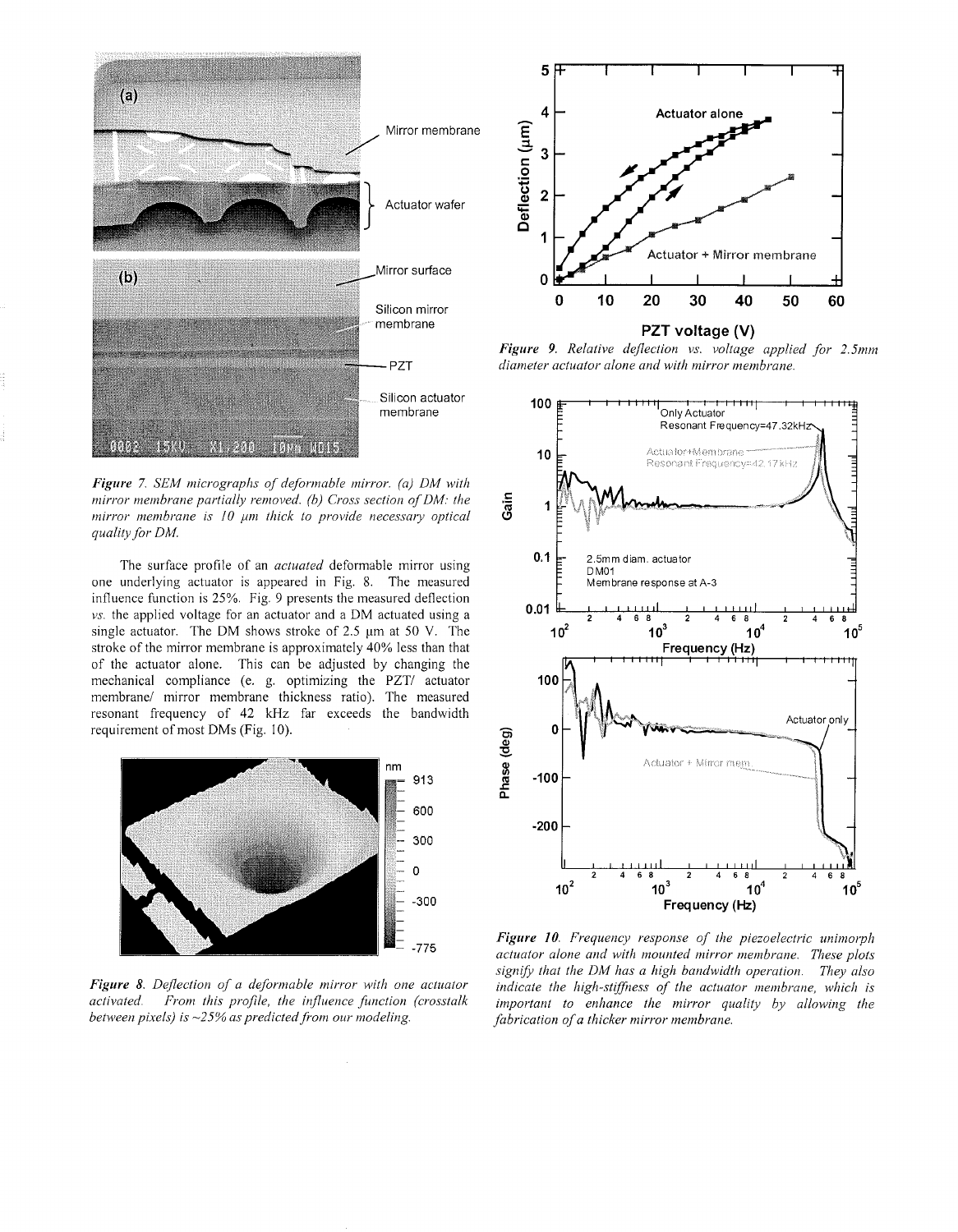

Figure 7. SEM micrographs of deformable mirror. (a) DM with mirror membrane partially removed. (b) Cross section of DM: the mirror membrane is 10 µm thick to provide necessary optical quality for DM.

The surface profile of an *actuated* deformable mirror using one underlying actuator is appeared in Fig. 8. The measured influence function is 25%. Fig. 9 presents the measured deflection vs. the applied voltage for an actuator and a DM actuated using a single actuator. The DM shows stroke of 2.5 µm at 50 V. The stroke of the mirror membrane is approximately 40% less than that of the actuator alone. This can be adjusted by changing the mechanical compliance (e. g. optimizing the PZT/ actuator membrane/ mirror membrane thickness ratio). The measured resonant frequency of 42 kHz far exceeds the bandwidth requirement of most DMs (Fig. 10).



Figure 8. Deflection of a deformable mirror with one actuator activated. From this profile, the influence function (crosstalk between pixels) is  $\sim$ 25% as predicted from our modeling.



Figure 9. Relative deflection vs. voltage applied for 2.5mm diameter actuator alone and with mirror membrane.



Figure 10. Frequency response of the piezoelectric unimorph actuator alone and with mounted mirror membrane. These plots signify that the DM has a high bandwidth operation. They also indicate the high-stiffness of the actuator membrane, which is important to enhance the mirror quality by allowing the fabrication of a thicker mirror membrane.